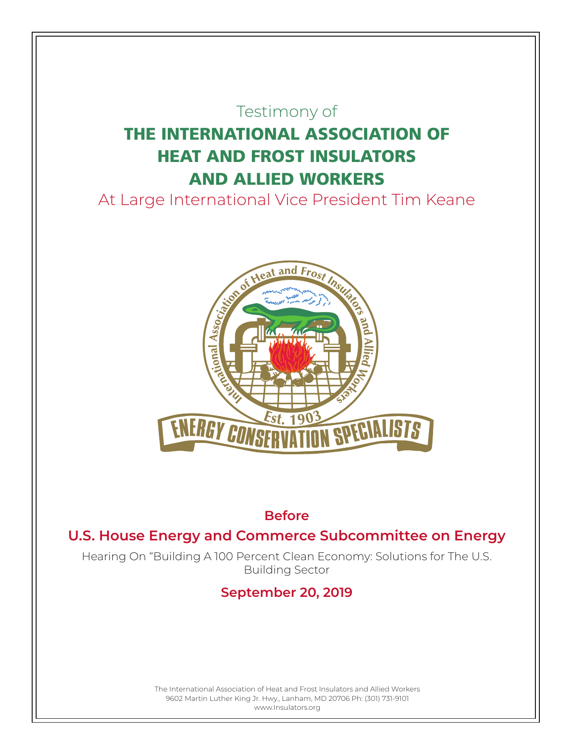# Testimony of THE INTERNATIONAL ASSOCIATION OF HEAT AND FROST INSULATORS AND ALLIED WORKERS

At Large International Vice President Tim Keane



#### **Before**

### **U.S. House Energy and Commerce Subcommittee on Energy**

Hearing On "Building A 100 Percent Clean Economy: Solutions for The U.S. Building Sector

# **September 20, 2019**

The International Association of Heat and Frost Insulators and Allied Workers 9602 Martin Luther King Jr. Hwy., Lanham, MD 20706 Ph: (301) 731-9101 www.Insulators.org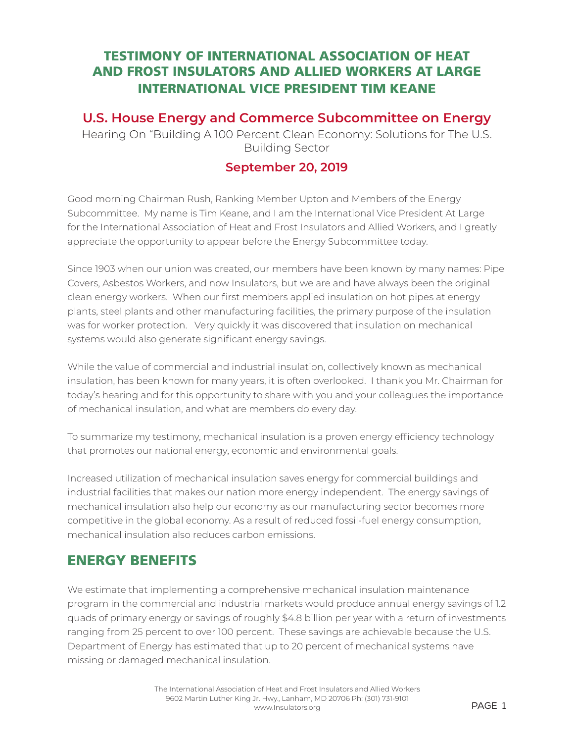#### TESTIMONY OF INTERNATIONAL ASSOCIATION OF HEAT AND FROST INSULATORS AND ALLIED WORKERS AT LARGE INTERNATIONAL VICE PRESIDENT TIM KEANE

#### **U.S. House Energy and Commerce Subcommittee on Energy**

Hearing On "Building A 100 Percent Clean Economy: Solutions for The U.S. Building Sector

#### **September 20, 2019**

Good morning Chairman Rush, Ranking Member Upton and Members of the Energy Subcommittee. My name is Tim Keane, and I am the International Vice President At Large for the International Association of Heat and Frost Insulators and Allied Workers, and I greatly appreciate the opportunity to appear before the Energy Subcommittee today.

Since 1903 when our union was created, our members have been known by many names: Pipe Covers, Asbestos Workers, and now Insulators, but we are and have always been the original clean energy workers. When our first members applied insulation on hot pipes at energy plants, steel plants and other manufacturing facilities, the primary purpose of the insulation was for worker protection. Very quickly it was discovered that insulation on mechanical systems would also generate significant energy savings.

While the value of commercial and industrial insulation, collectively known as mechanical insulation, has been known for many years, it is often overlooked. I thank you Mr. Chairman for today's hearing and for this opportunity to share with you and your colleagues the importance of mechanical insulation, and what are members do every day.

To summarize my testimony, mechanical insulation is a proven energy efficiency technology that promotes our national energy, economic and environmental goals.

Increased utilization of mechanical insulation saves energy for commercial buildings and industrial facilities that makes our nation more energy independent. The energy savings of mechanical insulation also help our economy as our manufacturing sector becomes more competitive in the global economy. As a result of reduced fossil-fuel energy consumption, mechanical insulation also reduces carbon emissions.

# ENERGY BENEFITS

We estimate that implementing a comprehensive mechanical insulation maintenance program in the commercial and industrial markets would produce annual energy savings of 1.2 quads of primary energy or savings of roughly \$4.8 billion per year with a return of investments ranging from 25 percent to over 100 percent. These savings are achievable because the U.S. Department of Energy has estimated that up to 20 percent of mechanical systems have missing or damaged mechanical insulation.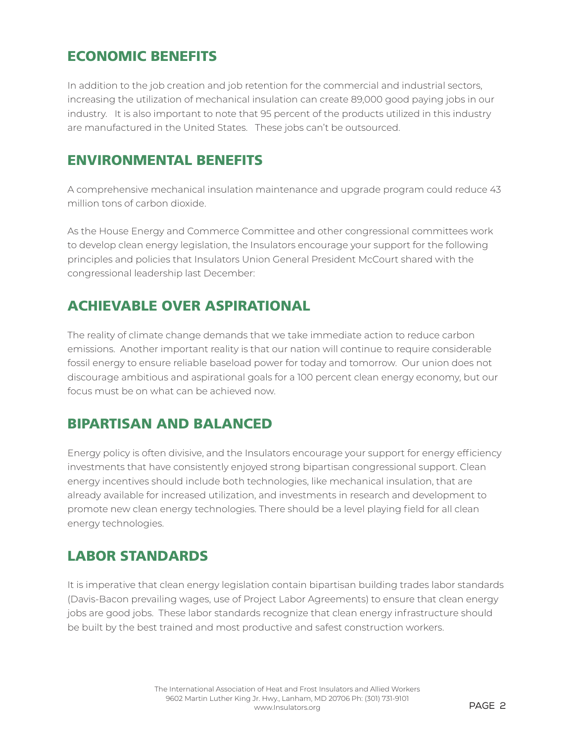### ECONOMIC BENEFITS

In addition to the job creation and job retention for the commercial and industrial sectors, increasing the utilization of mechanical insulation can create 89,000 good paying jobs in our industry. It is also important to note that 95 percent of the products utilized in this industry are manufactured in the United States. These jobs can't be outsourced.

#### ENVIRONMENTAL BENEFITS

A comprehensive mechanical insulation maintenance and upgrade program could reduce 43 million tons of carbon dioxide.

As the House Energy and Commerce Committee and other congressional committees work to develop clean energy legislation, the Insulators encourage your support for the following principles and policies that Insulators Union General President McCourt shared with the congressional leadership last December:

# ACHIEVABLE OVER ASPIRATIONAL

The reality of climate change demands that we take immediate action to reduce carbon emissions. Another important reality is that our nation will continue to require considerable fossil energy to ensure reliable baseload power for today and tomorrow. Our union does not discourage ambitious and aspirational goals for a 100 percent clean energy economy, but our focus must be on what can be achieved now.

### BIPARTISAN AND BALANCED

Energy policy is often divisive, and the Insulators encourage your support for energy efficiency investments that have consistently enjoyed strong bipartisan congressional support. Clean energy incentives should include both technologies, like mechanical insulation, that are already available for increased utilization, and investments in research and development to promote new clean energy technologies. There should be a level playing field for all clean energy technologies.

# LABOR STANDARDS

It is imperative that clean energy legislation contain bipartisan building trades labor standards (Davis-Bacon prevailing wages, use of Project Labor Agreements) to ensure that clean energy jobs are good jobs. These labor standards recognize that clean energy infrastructure should be built by the best trained and most productive and safest construction workers.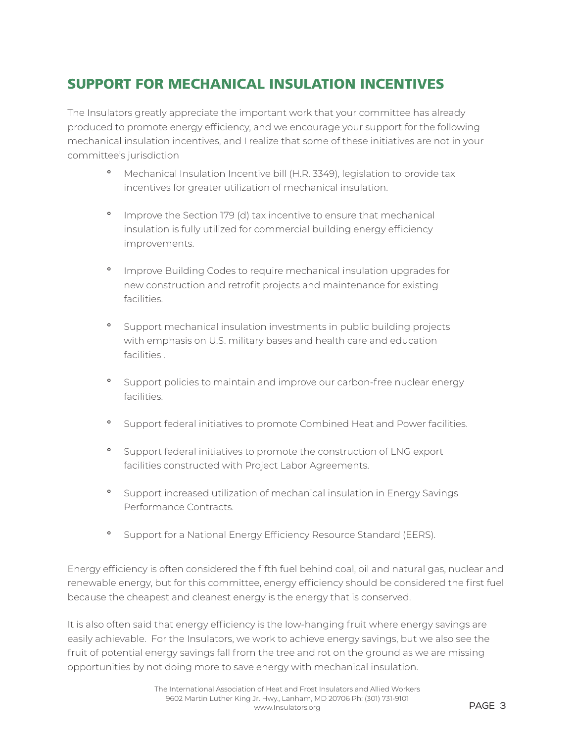# SUPPORT FOR MECHANICAL INSULATION INCENTIVES

The Insulators greatly appreciate the important work that your committee has already produced to promote energy efficiency, and we encourage your support for the following mechanical insulation incentives, and I realize that some of these initiatives are not in your committee's jurisdiction

- **°** Mechanical Insulation Incentive bill (H.R. 3349), legislation to provide tax incentives for greater utilization of mechanical insulation.
- **°** Improve the Section 179 (d) tax incentive to ensure that mechanical insulation is fully utilized for commercial building energy efficiency improvements.
- **°** Improve Building Codes to require mechanical insulation upgrades for new construction and retrofit projects and maintenance for existing facilities.
- **°** Support mechanical insulation investments in public building projects with emphasis on U.S. military bases and health care and education facilities .
- **°** Support policies to maintain and improve our carbon-free nuclear energy facilities.
- **°** Support federal initiatives to promote Combined Heat and Power facilities.
- **°** Support federal initiatives to promote the construction of LNG export facilities constructed with Project Labor Agreements.
- **°** Support increased utilization of mechanical insulation in Energy Savings Performance Contracts.
- **°** Support for a National Energy Efficiency Resource Standard (EERS).

Energy efficiency is often considered the fifth fuel behind coal, oil and natural gas, nuclear and renewable energy, but for this committee, energy efficiency should be considered the first fuel because the cheapest and cleanest energy is the energy that is conserved.

It is also often said that energy efficiency is the low-hanging fruit where energy savings are easily achievable. For the Insulators, we work to achieve energy savings, but we also see the fruit of potential energy savings fall from the tree and rot on the ground as we are missing opportunities by not doing more to save energy with mechanical insulation.